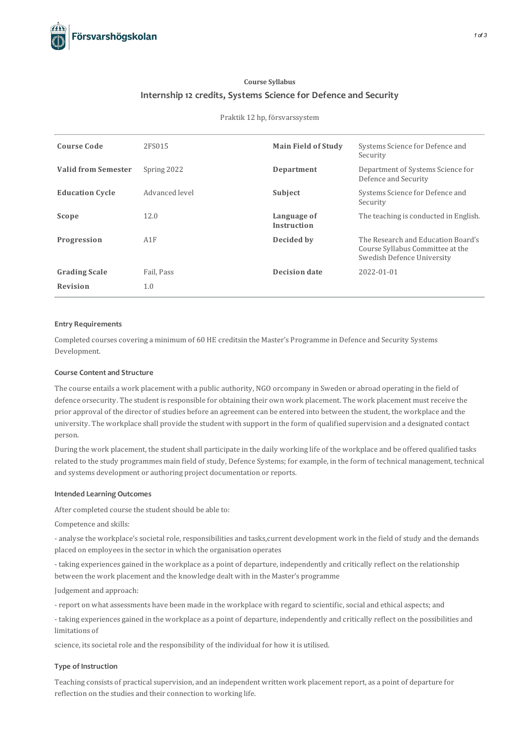

## **Course Syllabus Internship 12 credits, Systems Science for Defence and Security**

#### Praktik 12 hp, försvarssystem

| <b>Course Code</b>         | 2FS015         | <b>Main Field of Study</b> | Systems Science for Defence and<br>Security                                                          |
|----------------------------|----------------|----------------------------|------------------------------------------------------------------------------------------------------|
| <b>Valid from Semester</b> | Spring 2022    | Department                 | Department of Systems Science for<br>Defence and Security                                            |
| <b>Education Cycle</b>     | Advanced level | Subject                    | Systems Science for Defence and<br>Security                                                          |
| Scope                      | 12.0           | Language of<br>Instruction | The teaching is conducted in English.                                                                |
| Progression                | A1F            | Decided by                 | The Research and Education Board's<br>Course Syllabus Committee at the<br>Swedish Defence University |
| <b>Grading Scale</b>       | Fail, Pass     | <b>Decision date</b>       | 2022-01-01                                                                                           |
| <b>Revision</b>            | 1.0            |                            |                                                                                                      |

#### **Entry Requirements**

Completed coursescovering a minimum of 60 HE creditsin the Master's Programme in Defence and Security Systems Development.

## **Course Contentand Structure**

The course entails a work placement with a public authority, NGO orcompany in Sweden or abroad operating in the field of defence orsecurity. The student is responsible for obtaining their own work placement. The work placement must receive the prior approval of the director of studies before an agreement can be entered into between the student, the workplace and the university. The workplace shall provide the student with support in the form of qualified supervision and a designated contact person.

During the work placement, the student shall participate in the daily working life of the workplace and be offered qualified tasks related to the study programmes main field of study, Defence Systems; for example, in the form of technical management, technical and systems development or authoring project documentation or reports.

#### **Intended Learning Outcomes**

After completed course the student should be able to:

Competence and skills:

- analyse the workplace's societal role, responsibilities and tasks,current development work in the field of study and the demands placed on employees in the sector in which the organisation operates

- taking experiences gained in the workplace as a point of departure, independently and critically reflect on the relationship between the work placement and the knowledge dealt with in the Master's programme

Judgement and approach:

- report on what assessments have been made in the workplace with regard to scientific,social and ethical aspects; and

- taking experiences gained in the workplace as a point of departure, independently and critically reflect on the possibilities and limitations of

science, its societal role and the responsibility of the individual for how it is utilised.

#### **Type of Instruction**

Teaching consists of practical supervision, and an independent written work placement report, as a point of departure for reflection on the studies and their connection to working life.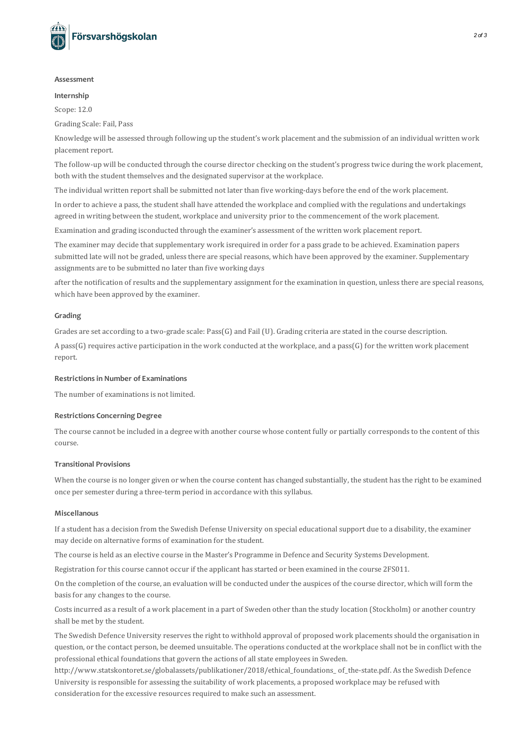

#### **Assessment**

#### **Internship**

Scope: 12.0

Grading Scale: Fail, Pass

Knowledge will be assessed through following up the student's work placement and the submission of an individual written work placement report.

The follow-up will be conducted through the course director checking on the student's progress twice during the work placement, both with the student themselves and the designated supervisor at the workplace.

The individual written report shall be submitted not later than five working-days before the end of the work placement.

In order to achieve a pass, the student shall have attended the workplace and complied with the regulations and undertakings agreed in writing between the student, workplace and university prior to the commencement of the work placement.

Examination and grading isconducted through the examiner's assessment of the written work placement report.

The examiner may decide that supplementary work isrequired in order for a pass grade to be achieved. Examination papers submitted late will not be graded, unless there are special reasons, which have been approved by the examiner. Supplementary assignments are to be submitted no later than five working days

after the notification of results and the supplementary assignment for the examination in question, unlessthere are special reasons, which have been approved by the examiner.

#### **Grading**

Grades are set according to a two-grade scale: Pass(G) and Fail (U). Grading criteria are stated in the course description.

A pass( $G$ ) requires active participation in the work conducted at the workplace, and a pass( $G$ ) for the written work placement report.

#### **Restrictionsin Number of Examinations**

The number of examinations is not limited.

#### **Restrictions Concerning Degree**

The course cannot be included in a degree with another course whose content fully or partially corresponds to the content of this course.

### **Transitional Provisions**

When the course is no longer given or when the course content has changed substantially, the student has the right to be examined once per semester during a three-term period in accordance with this syllabus.

#### **Miscellanous**

If a student has a decision from the Swedish Defense University on special educationalsupport due to a disability, the examiner may decide on alternative forms of examination for the student.

The course is held as an elective course in the Master's Programme in Defence and Security Systems Development.

Registration for thiscourse cannot occur if the applicant hasstarted or been examined in the course 2FS011.

On the completion of the course, an evaluation will be conducted under the auspices of the course director, which will form the basis for any changes to the course.

Costs incurred as a result of a work placement in a part of Sweden other than the study location (Stockholm) or another country shall be met by the student.

The Swedish Defence University reserves the right to withhold approval of proposed work placements should the organisation in question, or the contact person, be deemed unsuitable. The operations conducted at the workplace shall not be in conflict with the professional ethical foundations that govern the actions of all state employees in Sweden.

http://www.statskontoret.se/globalassets/publikationer/2018/ethical\_foundations\_ of\_the-state.pdf. Asthe Swedish Defence University is responsible for assessing the suitability of work placements, a proposed workplace may be refused with consideration for the excessive resources required to make such an assessment.